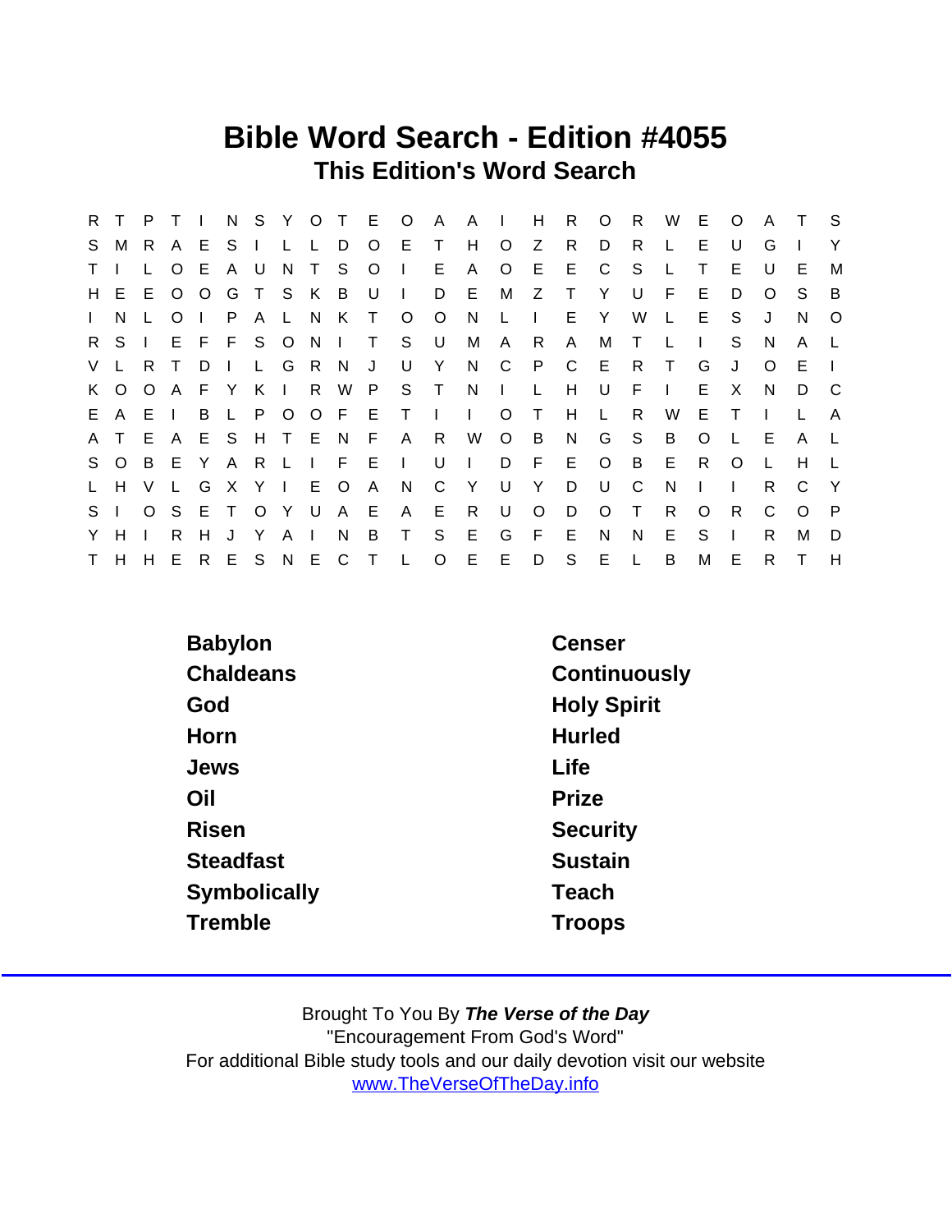## Bible Word Search - Edition #4055 This Edition's Word Search

| R.             | T.       | P        |                | $\mathbf{I}$ |              |              |              |                |         | N S Y O T E O |              | A.           | A I          |              | H            | R            | $\circ$      | R            | W      | E.       | $\circ$ | A        | $\top$   | S.           |
|----------------|----------|----------|----------------|--------------|--------------|--------------|--------------|----------------|---------|---------------|--------------|--------------|--------------|--------------|--------------|--------------|--------------|--------------|--------|----------|---------|----------|----------|--------------|
|                | S M      | R.       | $\mathsf{A}$   | E.           | S I          |              | L.           | $\mathsf{L}$   | D       | $\circ$       | E            | $\top$       | H            | $\circ$      | Z            | R.           | D            | R            |        | E.       | U       | G        |          | Y            |
| $\mathsf{T}$   |          |          | $\circ$        | E.           | A U          |              | N.           | T S            |         | $\circ$       | $\Box$       | Е            | A            | $\circ$      | E.           | E.           | C            | <sub>S</sub> |        |          | E.      | U        | E        | М            |
|                | H E      |          | E O            | $\circ$      |              | G T          | - S          |                | K B U   |               | $\mathbf{L}$ | D            | E            | M            | Z            | $\top$       | Y            | U            | F.     | E        | D       | $\Omega$ | S.       | B            |
| $\mathbf{L}$   | N.       |          | O              | $\mathbf{L}$ | P.           | $\mathsf{A}$ |              | L N K          |         | $\top$        | O            | $\circ$      | N.           | L            | $\mathbf{I}$ | E.           | Y            | W            | L      | E.       | S       | J        | N        | $\circ$      |
| $R_{\perp}$    | $S \mid$ |          |                |              | EFFSONI      |              |              |                |         | $\top$        | S.           | . U          | М            | $\mathsf{A}$ | R.           | $\mathsf{A}$ | М            | T            |        |          | S.      | N        | A        | $\mathsf{L}$ |
|                | V L      | R.       | $\top$         | D            | $\mathbf{I}$ | $\mathsf{L}$ | G            | R.             | N       | J             | U            | - Y          | N            | C.           | P            | C            | - E          | R.           | $\top$ | G        | J       | $\Omega$ | Е        |              |
|                | K O      | $\circ$  | $\mathsf{A}$   |              | F Y K        |              | $\mathbf{I}$ |                |         |               | R W P S T    |              | N,           | $\sim 1$ .   | $\mathsf{L}$ | H            | U            | F            |        | E        | X       | N        | D.       | C C          |
|                | E A      | E        | $\blacksquare$ | B            | L P          |              | $\circ$      |                | O F E   |               | $\top$       | $\mathbf{I}$ | $\mathbf{L}$ | $\circ$      | $\top$       | H            | $\mathsf{L}$ | R            | W      | E        | $\top$  |          |          | A            |
|                | A T      | E.       | <b>A</b>       |              | ESHTEN       |              |              |                |         | F             | $\mathsf{A}$ | R.           | W            | $\circ$      | <b>B</b>     | N            | G            | S.           | B      | $\circ$  |         | E        | A        |              |
|                | S O      | B E      |                | Y            | A R          |              | - Li         | $\mathbf{1}$ . | $F$ E   |               | $\mathbf{1}$ | U            | $\Box$       | D            | $-F$         | Е            | $\circ$      | B            | E.     | R.       | $\circ$ | L        | H.       |              |
| L.             | H        | V        | $\mathsf{L}$   | G            | X Y          |              | $\mathbf{I}$ |                | E O     | A             | N            | C            | Y            | U            | Y            | D            | U            | C            | N      |          |         | R.       | C        | $\mathsf{Y}$ |
| S <sub>1</sub> |          | $\Omega$ | - S            |              | E T          | $\circ$      | −Y−          | U              | A E     |               | A            | E.           | R            | U            | $\Omega$     | D            | $\Omega$     | Τ            | R.     | $\Omega$ | R       | C        | $\Omega$ | - P          |
| Y.             | H        |          | R              | H.           | $\mathbf{J}$ | Y            | A            | $\mathbf{I}$   | N       | B             | T.           | S            | E            | G            | E            | E            | N.           | N            | E      | S        |         | R        | М        | D            |
|                | T H      | H        | Е              | $R_{\perp}$  | E            | S            |              |                | N E C T |               | $\mathsf{L}$ | $\circ$      | E            | E            | D            | S            | E            | L            | B      | M        | Е       | R        |          | H            |

| <b>Babylon</b>   | Censer             |  |  |  |  |  |  |
|------------------|--------------------|--|--|--|--|--|--|
| Chaldeans        | Continuously       |  |  |  |  |  |  |
| God              | <b>Holy Spirit</b> |  |  |  |  |  |  |
| Horn             | <b>Hurled</b>      |  |  |  |  |  |  |
| Jews             | Life               |  |  |  |  |  |  |
| Oil              | Prize              |  |  |  |  |  |  |
| <b>Risen</b>     | Security           |  |  |  |  |  |  |
| <b>Steadfast</b> | Sustain            |  |  |  |  |  |  |
| Symbolically     | Teach              |  |  |  |  |  |  |
| Tremble          | <b>Troops</b>      |  |  |  |  |  |  |
|                  |                    |  |  |  |  |  |  |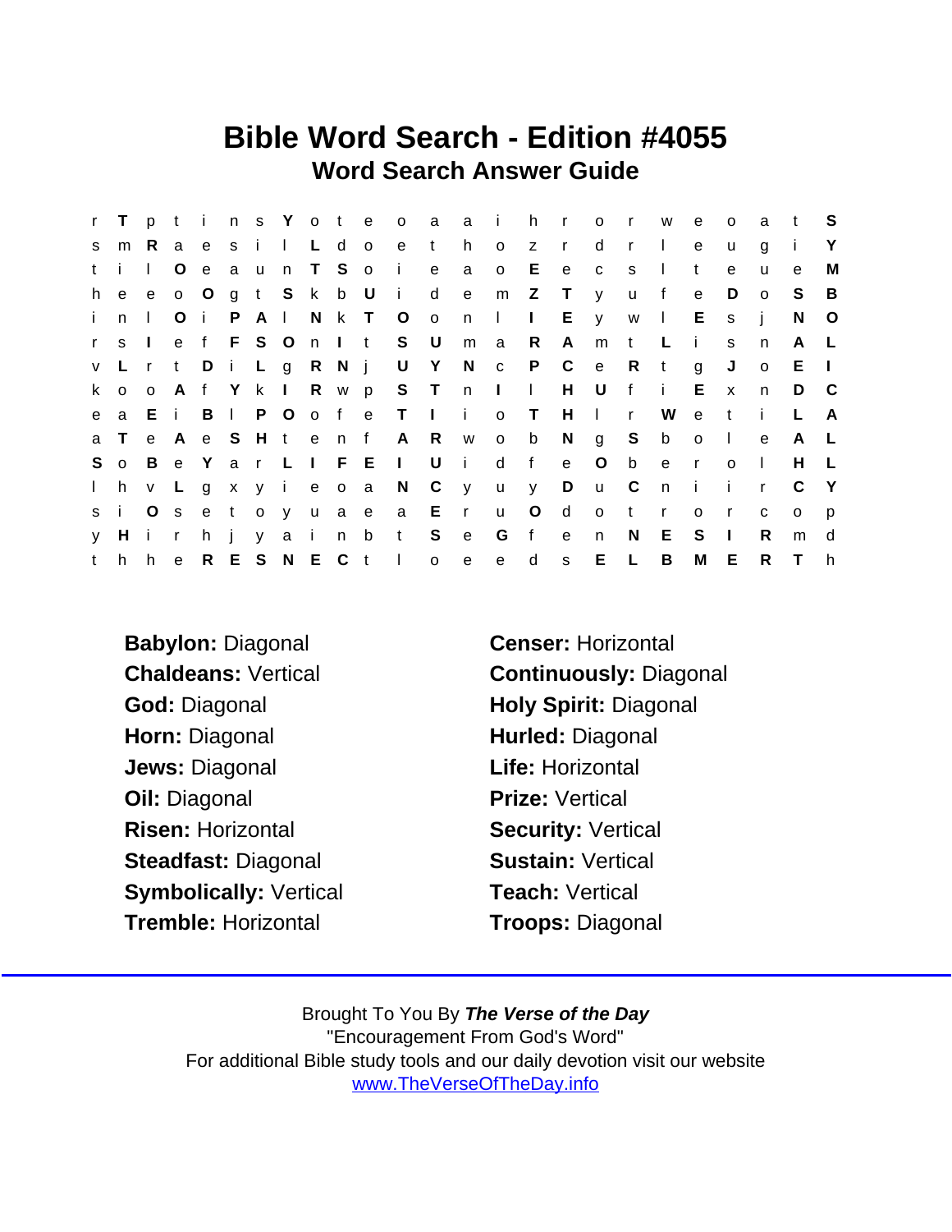## Bible Word Search - Edition #4055 Word Search Answer Guide

| $\mathbf{r}$ | T.           | p              | $-t$         |              |              |         | ins Yote      |              |       |                | $\overline{\mathsf{O}}$ | a              | a i            |              | h.           | $\mathbf{r}$ | $\circ$      | $\mathsf{r}$ | W            | e            | $\circ$      | a            | t       | - S          |
|--------------|--------------|----------------|--------------|--------------|--------------|---------|---------------|--------------|-------|----------------|-------------------------|----------------|----------------|--------------|--------------|--------------|--------------|--------------|--------------|--------------|--------------|--------------|---------|--------------|
| S.           | m            | R.             | a            | e            | s i          |         | $\perp$       | $\mathsf{L}$ | d     | $\overline{O}$ | e                       | t              | h.             | $\circ$      | z            | $\mathsf{r}$ | d            | $\mathsf{r}$ | $\mathbf{L}$ | e            | u            | g            |         | Y            |
| t.           | $\mathbf{I}$ | $\mathbf{L}$   | O            | $\mathbf{e}$ | a u          |         |               | n T S o      |       |                | - i -                   | $\mathbf{e}$   | a              | $\circ$      | Е            | $\mathsf{e}$ | $\mathbf{C}$ | S            | $\mathbf{I}$ | t            | e            | u            | e       | M            |
| h.           | $\mathbf{e}$ | e              | $0$ O        |              |              |         | g t S k b U   |              |       |                | - i -                   | d              | $\mathsf{e}\,$ | m            | Z            | $\top$       | y            | <b>u</b>     | f            | $\mathbf e$  | D            | $\circ$      | S.      | B            |
| i.           | n.           | $\mathbf{L}$   | $\circ$      | $\mathbf{i}$ | P.           |         | $A \mid$      |              |       | N K T O        |                         | $\overline{O}$ | n              | $\Box$       | $\mathbf{L}$ | $E =$        | y            | W            | $\Box$       | $E_{\perp}$  | $\mathsf{s}$ | - i          | N       | $\circ$      |
| r            | <sub>S</sub> | $\Box$         | e            |              |              |         |               |              |       |                | f F S O n I t S U       |                | m              | a            | R            | $\mathsf{A}$ | m            | $\mathsf{t}$ | L            | $\mathbf{i}$ | S.           | n            | A       |              |
| $\mathsf{V}$ | L.           | $\mathsf{r}$   | $\mathbf{t}$ | D            | $i \in L$    |         |               | g R N j      |       |                | U                       | Y              | N.             | $\mathbf{C}$ | P.           | $\mathsf{C}$ | $-e$         | R            | t            | g            | J            | $\circ$      | E.      | $\perp$      |
|              | k o          | $\circ$        |              |              |              |         |               |              |       |                | A f Y k I R w p S T     |                | n              | $\sim 1$ .   | $\mathbf{L}$ | H            | U            | f            | j.           | E.           | $\mathsf{x}$ | n            | D       | - C          |
| e            | a            | Ei             |              | B            | $\mathbf{L}$ | P.      | $\circ$       | o f          |       | $\mathbf{e}$   | $\top$                  | $\sim 1$ .     | i.             | $\circ$      | $\top$       | H            | $\mathbf{L}$ | $\mathsf{r}$ | W            | $\mathsf{e}$ | t            | -i-          |         | A            |
| a            | T.           |                | e A          |              |              |         | e S H t e n f |              |       |                | A R                     |                | <b>W</b>       | $\mathsf{o}$ | b            | N            | g            | S            | b            | $\circ$      | $\sim 1$     | e            | A       | $\mathsf{L}$ |
| S.           | $\Omega$     | B              | e Y          |              | a r          |         | $L \mid$      |              | F E   |                | $\mathbf{L}$            | U              | $\mathbf{I}$   | d            | f            | $\mathsf{e}$ | O            | $\mathbf b$  | e            | $\mathbf{r}$ | $\Omega$     | $\mathbf{L}$ | H       |              |
| $\mathbf{L}$ | h            | V              | L.           | $\mathsf{g}$ |              |         | xyi           |              | e o a |                | N                       | $\mathbb{C}$   | $\mathsf{y}$   | u            | y.           | D            | <b>u</b>     | $\mathbf{C}$ | n            | - i          | Ť.           | $\mathsf{r}$ | C       | - Y          |
| s i          |              | O <sub>s</sub> |              |              | e t          | $\circ$ | y             |              | u a e |                | a                       | $E$ r          |                | <b>u</b>     | O            | d            | $\circ$      | $\mathbf{t}$ | $\mathsf{r}$ | $\mathsf{o}$ | $\mathsf{r}$ | C            | $\circ$ | p            |
| V            | Hi           |                | $\mathsf{r}$ | h.           |              | V       | a i           |              | n     | b              | t                       | S              | e              | G            | f            | e            | n            | N.           | Е            | S.           | $\mathbf{I}$ | R.           | m       | d            |
| t            | h            | h.             | e            |              |              |         | R E S N E C t |              |       |                | $\sim 1$ .              | $\mathsf{o}$   | $\mathsf{e}$   | $\mathbf{e}$ | d            | s            | E            | $\mathsf{L}$ | B            | М            | E            | R.           | $\top$  | h.           |

Babylon: Diagonal Censer: Horizontal God: Diagonal **Holy Spirit: Diagonal** Horn: Diagonal **Hurled: Diagonal** Jews: Diagonal **Life: Horizontal** Oil: Diagonal Prize: Vertical Risen: Horizontal Security: Vertical Steadfast: Diagonal Sustain: Vertical Symbolically: Vertical Teach: Vertical Tremble: Horizontal Troops: Diagonal

Chaldeans: Vertical Continuously: Diagonal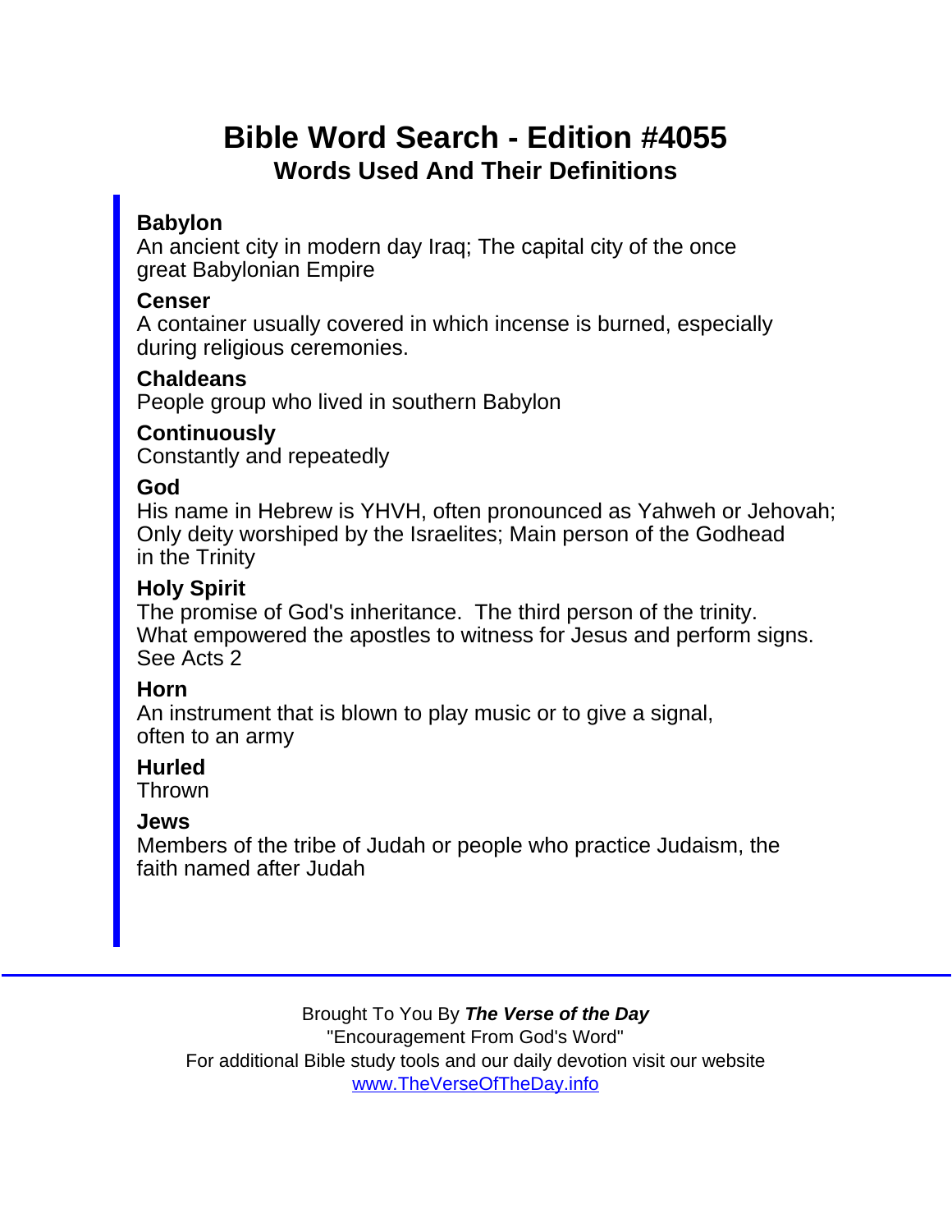# Bible Word Search - Edition #4055 Words Used And Their Definitions

#### Babylon

An ancient city in modern day Iraq; The capital city of the once great Babylonian Empire

**Censer** 

A container usually covered in which incense is burned, especially during religious ceremonies.

**Chaldeans** 

People group who lived in southern Babylon

Continuously Constantly and repeatedly

God

His name in Hebrew is YHVH, often pronounced as Yahweh or Jehovah; Only deity worshiped by the Israelites; Main person of the Godhead in the Trinity

Holy Spirit

The promise of God's inheritance. The third person of the trinity. What empowered the apostles to witness for Jesus and perform signs. See Acts 2

#### Horn

An instrument that is blown to play music or to give a signal, often to an army

**Hurled** 

Thrown

Jews

Members of the tribe of Judah or people who practice Judaism, the faith named after Judah